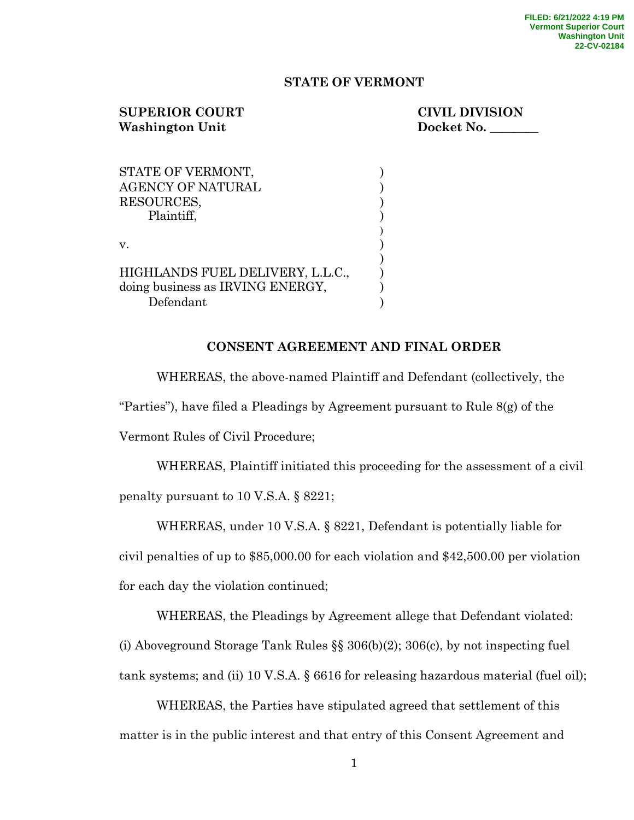### **STATE OF VERMONT**

# **SUPERIOR COURT CIVIL DIVISION** Washington Unit Docket No.

| STATE OF VERMONT,                |  |
|----------------------------------|--|
| <b>AGENCY OF NATURAL</b>         |  |
| RESOURCES,                       |  |
| Plaintiff,                       |  |
|                                  |  |
| $V_{-}$                          |  |
|                                  |  |
| HIGHLANDS FUEL DELIVERY, L.L.C., |  |
| doing business as IRVING ENERGY. |  |
| Defendant                        |  |

### **CONSENT AGREEMENT AND FINAL ORDER**

WHEREAS, the above-named Plaintiff and Defendant (collectively, the

"Parties"), have filed a Pleadings by Agreement pursuant to Rule  $8(g)$  of the

Vermont Rules of Civil Procedure;

WHEREAS, Plaintiff initiated this proceeding for the assessment of a civil penalty pursuant to 10 V.S.A. § 8221;

WHEREAS, under 10 V.S.A. § 8221, Defendant is potentially liable for

civil penalties of up to \$85,000.00 for each violation and \$42,500.00 per violation for each day the violation continued;

WHEREAS, the Pleadings by Agreement allege that Defendant violated: (i) Aboveground Storage Tank Rules §§ 306(b)(2); 306(c), by not inspecting fuel tank systems; and (ii) 10 V.S.A. § 6616 for releasing hazardous material (fuel oil);

WHEREAS, the Parties have stipulated agreed that settlement of this matter is in the public interest and that entry of this Consent Agreement and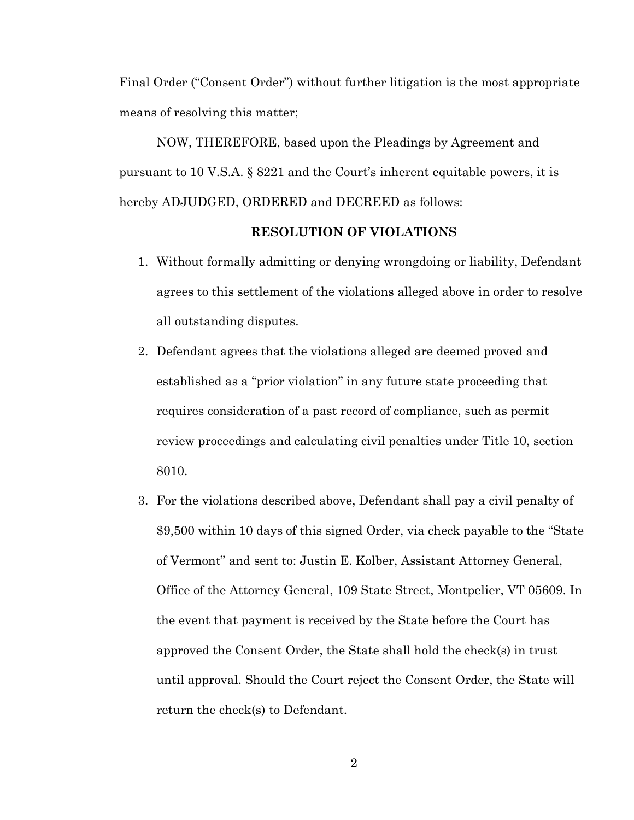Final Order ("Consent Order") without further litigation is the most appropriate means of resolving this matter;

NOW, THEREFORE, based upon the Pleadings by Agreement and pursuant to 10 V.S.A. § 8221 and the Court's inherent equitable powers, it is hereby ADJUDGED, ORDERED and DECREED as follows:

### **RESOLUTION OF VIOLATIONS**

- 1. Without formally admitting or denying wrongdoing or liability, Defendant agrees to this settlement of the violations alleged above in order to resolve all outstanding disputes.
- 2. Defendant agrees that the violations alleged are deemed proved and established as a "prior violation" in any future state proceeding that requires consideration of a past record of compliance, such as permit review proceedings and calculating civil penalties under Title 10, section 8010.
- 3. For the violations described above, Defendant shall pay a civil penalty of \$9,500 within 10 days of this signed Order, via check payable to the "State of Vermont" and sent to: Justin E. Kolber, Assistant Attorney General, Office of the Attorney General, 109 State Street, Montpelier, VT 05609. In the event that payment is received by the State before the Court has approved the Consent Order, the State shall hold the check(s) in trust until approval. Should the Court reject the Consent Order, the State will return the check(s) to Defendant.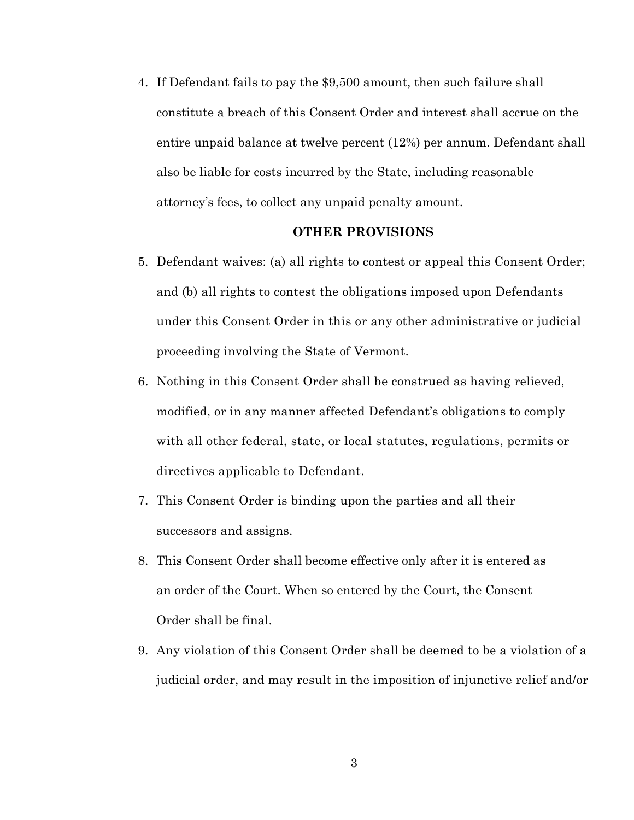4. If Defendant fails to pay the \$9,500 amount, then such failure shall constitute a breach of this Consent Order and interest shall accrue on the entire unpaid balance at twelve percent (12%) per annum. Defendant shall also be liable for costs incurred by the State, including reasonable attorney's fees, to collect any unpaid penalty amount.

#### **OTHER PROVISIONS**

- 5. Defendant waives: (a) all rights to contest or appeal this Consent Order; and (b) all rights to contest the obligations imposed upon Defendants under this Consent Order in this or any other administrative or judicial proceeding involving the State of Vermont.
- 6. Nothing in this Consent Order shall be construed as having relieved, modified, or in any manner affected Defendant's obligations to comply with all other federal, state, or local statutes, regulations, permits or directives applicable to Defendant.
- 7. This Consent Order is binding upon the parties and all their successors and assigns.
- 8. This Consent Order shall become effective only after it is entered as an order of the Court. When so entered by the Court, the Consent Order shall be final.
- 9. Any violation of this Consent Order shall be deemed to be a violation of a judicial order, and may result in the imposition of injunctive relief and/or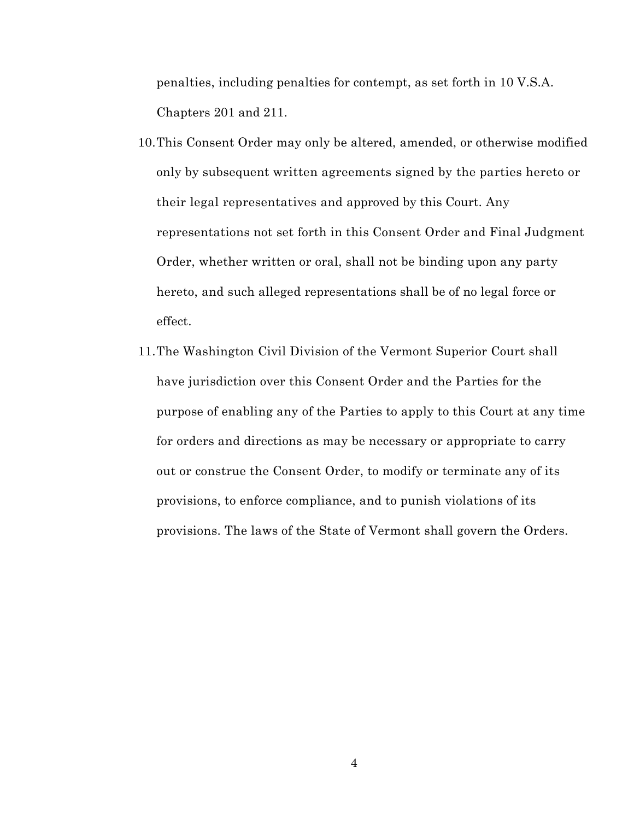penalties, including penalties for contempt, as set forth in 10 V.S.A. Chapters 201 and 211.

- 10.This Consent Order may only be altered, amended, or otherwise modified only by subsequent written agreements signed by the parties hereto or their legal representatives and approved by this Court. Any representations not set forth in this Consent Order and Final Judgment Order, whether written or oral, shall not be binding upon any party hereto, and such alleged representations shall be of no legal force or effect.
- 11.The Washington Civil Division of the Vermont Superior Court shall have jurisdiction over this Consent Order and the Parties for the purpose of enabling any of the Parties to apply to this Court at any time for orders and directions as may be necessary or appropriate to carry out or construe the Consent Order, to modify or terminate any of its provisions, to enforce compliance, and to punish violations of its provisions. The laws of the State of Vermont shall govern the Orders.

4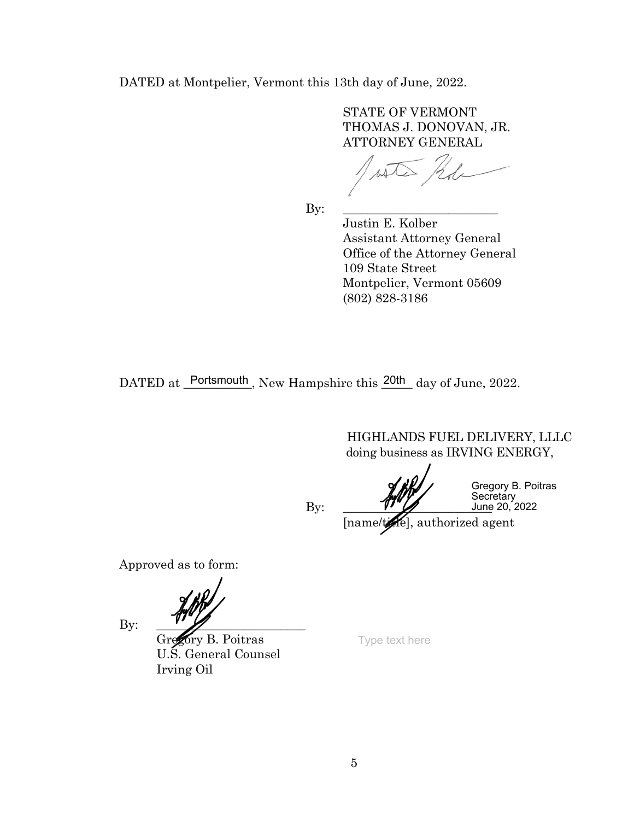DATED at Montpelier, Vermont this 13th day of June, 2022.

 STATE OF VERMONT THOMAS J. DONOVAN, JR. ATTORNEY GENERAL

By: \_\_\_\_\_\_\_\_\_\_\_\_\_\_\_\_\_\_\_\_\_\_\_\_\_

 Justin E. Kolber Assistant Attorney General Office of the Attorney General 109 State Street Montpelier, Vermont 05609 (802) 828-3186

DATED at Portsmouth, New Hampshire this  $\frac{20th}{\text{day of June, 2022}}$ .

HIGHLANDS FUEL DELIVERY, LLLC doing business as IRVING ENERGY,

 $\mathop{\text{By:}} \quad \begin{array}{c} \text{V} \text{V} \text{V} \end{array}$  June

Gregory B. Poitras Secretary June 20, 2022

[name/tate], authorized agent

Approved as to form:

 $By:$ 

Gregory B. Poitras U.S. General Counsel Irving Oil

Type text here